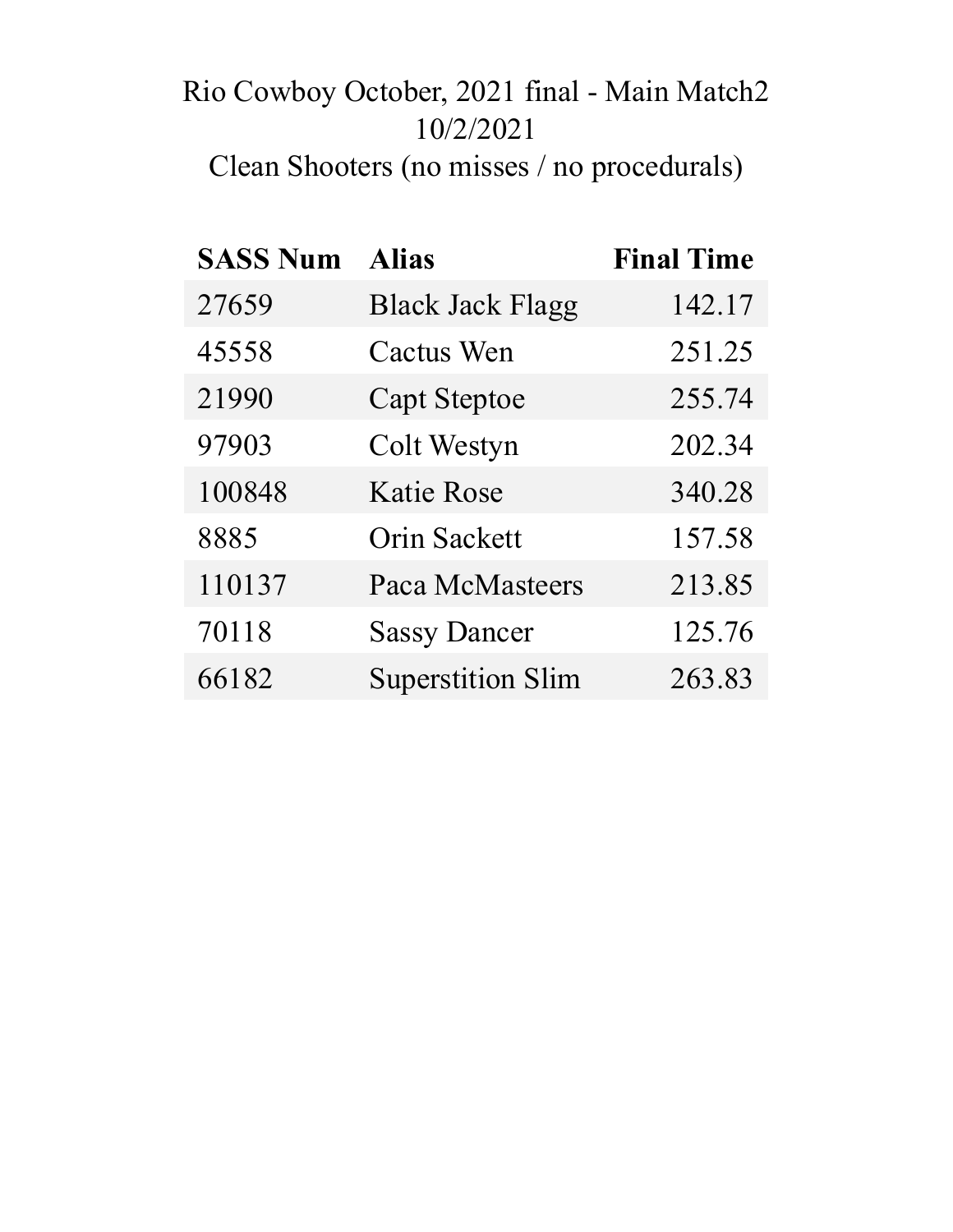# Rio Cowboy October, 2021 final - Main Match2 10/2/2021

Clean Shooters (no misses / no procedurals)

| <b>SASS Num</b> | <b>Alias</b>             | <b>Final Time</b> |
|-----------------|--------------------------|-------------------|
| 27659           | <b>Black Jack Flagg</b>  | 142.17            |
| 45558           | <b>Cactus Wen</b>        | 251.25            |
| 21990           | <b>Capt Steptoe</b>      | 255.74            |
| 97903           | Colt Westyn              | 202.34            |
| 100848          | <b>Katie Rose</b>        | 340.28            |
| 8885            | <b>Orin Sackett</b>      | 157.58            |
| 110137          | <b>Paca McMasteers</b>   | 213.85            |
| 70118           | <b>Sassy Dancer</b>      | 125.76            |
| 66182           | <b>Superstition Slim</b> | 263.83            |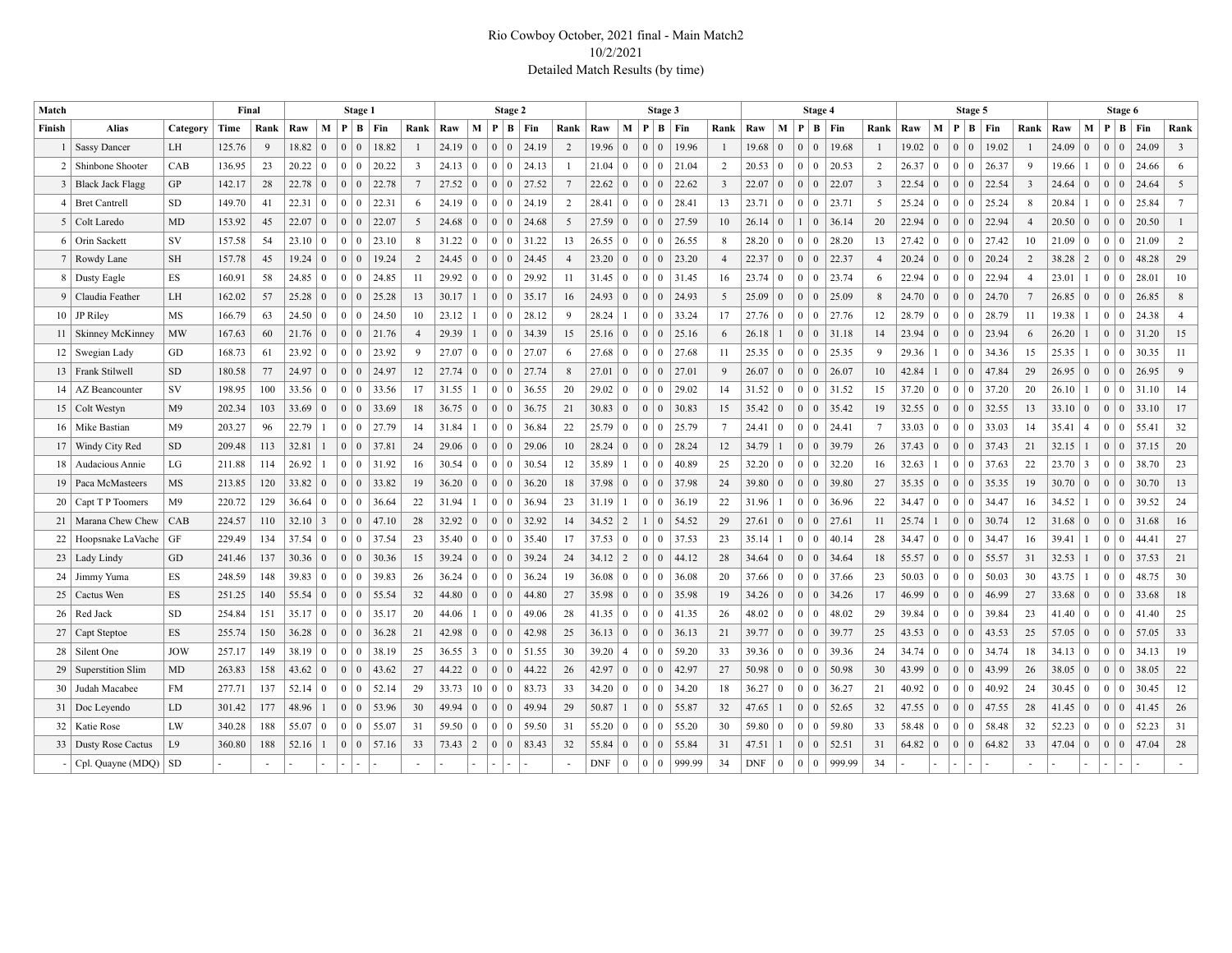#### Rio Cowboy October, 2021 final - Main Match2 10/2/2021 Detailed Match Results (by time)

| Match           |                        |                | Final  |      |                |                 | Stage 1                           |                     |                |                          |                 |                             | Stage 2               |                 |            |                 |              | Stage 3        |                 |                         |            |                 | Stage 4                          |                        |                 |                   |                 |                 | Stage 5           |                 |               |                |                                      | Stage 6                  |                 |
|-----------------|------------------------|----------------|--------|------|----------------|-----------------|-----------------------------------|---------------------|----------------|--------------------------|-----------------|-----------------------------|-----------------------|-----------------|------------|-----------------|--------------|----------------|-----------------|-------------------------|------------|-----------------|----------------------------------|------------------------|-----------------|-------------------|-----------------|-----------------|-------------------|-----------------|---------------|----------------|--------------------------------------|--------------------------|-----------------|
| Finish          | <b>Alias</b>           | Category       | Time   | Rank | Raw            | M               |                                   | $P \mid B \mid Fin$ | Rank           | Raw                      | M               |                             | $P \mid B \mid Fin$   | Rank            | Raw        |                 |              |                | M   P   B   Fin | Rank                    | Raw        | M   P           |                                  | $B$   Fin              | Rank            | Raw               |                 |                 | M   P   B   Fin   | Rank            | Raw           | M   P          |                                      | B Fin                    | Rank            |
|                 | 1   Sassy Dancer       | LH             | 125.76 | 9    | 18.82          | $\overline{0}$  | $\overline{0}$<br>$\mathbf{0}$    | 18.82               |                | 24.19                    | $\mathbf{0}$    | $\Omega$                    | 0 24.19               | 2               | 19.96      | $\overline{0}$  |              |                | 19.96           | $\overline{1}$          | 19.68      | $\mathbf{0}$    | $\Omega$                         | $0 \mid 19.68$         | $\overline{1}$  | 19.02             | $\mathbf{0}$    | 0 <sup>1</sup>  | 19.02<br>$\Omega$ |                 | 24.09         | $\Omega$       | $\Omega$<br>$\Omega$                 | 24.09                    | $\overline{3}$  |
|                 | 2   Shinbone Shooter   | CAB            | 136.95 | 23   | 20.22          | $\overline{0}$  | $0 \mid 0$                        | 20.22               | 3              | 24.13                    | $\pm 0$         | $0 \mid 0 \mid$             | 24.13                 |                 | 21.04      | $\overline{0}$  | $\theta$     | 0              | 21.04           | 2                       | 20.53      | $\mathbf{0}$    |                                  | 0 0 20.53              | 2               | 26.37 0           |                 | 0 <sup>1</sup>  | 26.37             | 9               | 19.66         |                | $\mathbf{0}$<br>$\mathbf{0}$         | 24.66                    | 6               |
|                 | 3 Black Jack Flagg     | <b>GP</b>      | 142.17 | 28   | 22.78          | $\overline{0}$  | $\mathbf{0}$<br>$\vert 0 \vert$   | 22.78               | 7              | 27.52 0                  |                 | 0 <sup>0</sup>              | 27.52                 | $7\phantom{.0}$ | 22.62      | $\overline{0}$  | $\mathbf{0}$ | 0              | 22.62           | $\overline{\mathbf{3}}$ | 22.07      | $\overline{0}$  | $\overline{0}$                   | $0 \mid 22.07$         | $\overline{3}$  | $22.54 \mid 0$    |                 | 0 <sup>0</sup>  | 22.54             | $\overline{3}$  | 24.64         | $\mathbf{0}$   | 0 <sup>1</sup>                       | 24.64<br>$\overline{0}$  | 5               |
|                 | $4$ Bret Cantrell      | <b>SD</b>      | 149.70 | 41   | 22.31          | $\mathbf{0}$    | $0 \mid 0$                        | 22.31               |                | 24.19                    | $\vert 0 \vert$ | $0 \mid 0 \mid$             | 24.19                 | 2               | 28.41      | $\overline{0}$  | $\mathbf{0}$ | 0              | 28.41           | 13                      | 23.71      | $\overline{0}$  | $\vert 0 \vert$                  | $0 \mid 23.71$         | 5               | $25.24 \mid 0$    |                 | 0 <sup>1</sup>  | 25.24             | 8               | 20.84         |                | 0 <sup>1</sup><br>$\overline{0}$     | 25.84                    | $7\overline{ }$ |
|                 | 5 Colt Laredo          | <b>MD</b>      | 153.92 | 45   | $22.07 \mid 0$ |                 | $\overline{0}$<br>$\vert 0 \vert$ | 22.07               | 5              | 24.68                    | $\vert 0 \vert$ | $0 \mid 0$                  | 24.68                 | 5               | 27.59      | $\overline{0}$  | $\mathbf{0}$ | $\Omega$       | 27.59           | 10                      | 26.14      | $\overline{0}$  | $\overline{0}$                   | 36.14                  | 20              | $22.94 \mid 0$    |                 | 0 <sup>0</sup>  | 22.94             | $\overline{4}$  | 20.50         | $\Omega$       | $\left( 0 \right)$<br>$\overline{0}$ | 20.50                    |                 |
|                 | 6 Orin Sackett         | <b>SV</b>      | 157.58 | 54   | $23.10 \mid 0$ |                 | $\mathbf{0}$<br>$\overline{0}$    | 23.10               |                | 31.22                    | $\vert 0 \vert$ | $0 \mid 0$                  | 31.22                 | 13              | 26.55      | $\vert 0 \vert$ | $\Omega$     | 0              | 26.55           | 8                       | 28.20      | $\mathbf{0}$    |                                  | $0 \mid 0 \mid 28.20$  | 13              | $27.42 \mid 0$    |                 | 0 <sup>0</sup>  | 27.42             | 10              | 21.09         | $\theta$       | $\theta$                             | 21.09                    | $\overline{2}$  |
|                 | 7 Rowdy Lane           | <b>SH</b>      | 157.78 | 45   | 19.24          | $\overline{0}$  | $\overline{0}$<br>$\overline{0}$  | 19.24               | $\overline{2}$ | $24.45 \mid 0$           |                 |                             | $0 \mid 0 \mid 24.45$ | $\overline{4}$  | 23.20      | $\vert 0 \vert$ | $\Omega$     | $\Omega$       | 23.20           | $\overline{4}$          | 22.37      | $\overline{0}$  | $\overline{0}$                   | 0 22.37                | $\overline{4}$  | $20.24 \mid 0$    |                 | 0 <sup>0</sup>  | 20.24             | $\overline{2}$  | 38.28         | $\sqrt{2}$     | $\overline{0}$                       | $\overline{0}$<br>48.28  | 29              |
|                 | 8 Dusty Eagle          | <b>ES</b>      | 160.91 | 58   | $24.85 \mid 0$ |                 | $\mathbf{0}$<br>$\overline{0}$    | 24.85               | 11             | 29.92                    | $\vert 0 \vert$ | $0 \mid 0 \mid$             | 29.92                 | 11              | 31.45      | $\overline{0}$  |              |                | 31.45           | 16                      | 23.74      | $\overline{0}$  | $\Omega$                         | $0 \mid 23.74$         | 6               | $22.94 \mid 0$    |                 | $0 \mid 0$      | 22.94             | $\overline{4}$  | 23.01         |                | $\theta$                             | 28.01                    | 10              |
|                 | 9 Claudia Feather      | LH             | 162.02 | 57   | 25.28          | $\overline{0}$  | $\overline{0}$<br>$\overline{0}$  | 25.28               | 13             | 30.17<br>$\vert 1 \vert$ |                 |                             | 0   0   35.17         | 16              | 24.93      | $\overline{0}$  | $\Omega$     | 0              | 24.93           | 5                       | 25.09      | $\mathbf{0}$    | $\overline{0}$                   | $0 \mid 25.09$         | 8               | $24.70 \,   \, 0$ |                 | 0 <sup>0</sup>  | 24.70             | $7\phantom{.0}$ | 26.85         | $\mathbf{0}$   | $\mathbf{0}$<br>$\mathbf{0}$         | 26.85                    | 8               |
|                 | $10$ JP Riley          | MS             | 166.79 | 63   | 24.50          | $\mathbf{0}$    | $\overline{0}$<br>$\vert 0 \vert$ | 24.50               | 10             | 23.12                    | $\vert$ 1       | $0 \mid 0 \mid$             | 28.12                 | 9               | 28.24      |                 | $\Omega$     | 0              | 33.24           | 17                      | 27.76      | $\overline{0}$  |                                  | 0   0   27.76          | 12              | $28.79 \mid 0$    |                 | 0 <sup>1</sup>  | 28.79             | 11              | 19.38         |                | $\overline{0}$<br>$\mathbf{0}$       | 24.38                    | $\overline{4}$  |
|                 | 11   Skinney McKinney  | <b>MW</b>      | 167.63 | 60   | 21.76          | $\overline{0}$  | $\overline{0}$<br>$\vert 0 \vert$ | 21.76               | $\overline{4}$ | 29.39                    | $\mathbf{1}$    |                             | 34.39                 | 15              | 25.16      | $\Omega$        | $\mathbf{0}$ | $\Omega$       | 25.16           | 6                       | 26.18      | $\overline{1}$  | $\vert 0 \vert$                  | $0 \mid 31.18$         | 14              | 23.94             | $\overline{0}$  | 0 <sup>0</sup>  | 23.94             | 6               | 26.20         |                | $\mathbf{0}$                         | $\mathbf{0}$<br>31.20    | 15              |
|                 | 12   Swegian Lady      | GD             | 168.73 | 61   | 23.92          | $\mathbf{0}$    | $\overline{0}$<br>$\overline{0}$  | 23.92               | -9             | 27.07                    | $\vert 0 \vert$ | $0$ $0$ $\overline{0}$      | 27.07                 | 6               | 27.68      | $\overline{0}$  | $\mathbf{0}$ | 0              | 27.68           | 11                      | 25.35      | $\bf{0}$        | $\vert 0 \vert$                  | $0$   25.35            | 9               | 29.36             | -1              | 0 <sup>1</sup>  | 34.36             | 15              | 25.35         |                | $\overline{0}$<br>$\overline{0}$     | 30.35                    | 11              |
|                 | 13   Frank Stilwell    | <b>SD</b>      | 180.58 | 77   | 24.97          | $\overline{0}$  | $\overline{0}$<br>$\overline{0}$  | 24.97               | 12             | 27.74                    | $\vert 0 \vert$ | 0 <sup>0</sup>              | 27.74                 | 8               | 27.01      | $\overline{0}$  | $\Omega$     | 0              | 27.01           | 9                       | 26.07      | $\mathbf{0}$    | $\Omega$                         | $0 \mid 26.07$         | 10              | 42.84             | -1              | 0 <sup>0</sup>  | 47.84             | 29              | 26.95         | $\Omega$       | $\overline{0}$                       | $\overline{0}$<br>26.95  | 9               |
| 14              | AZ Beancounter         | SV             | 198.95 | 100  | 33.56          | $\Omega$        | $\mathbf{0}$<br>$\boldsymbol{0}$  | 33.56               | 17             | 31.55                    | $\mathbf{1}$    | 0 <sup>1</sup>              | 36.55                 | 20              | 29.02      | $\overline{0}$  |              |                | 29.02           | 14                      | 31.52      | $\mathbf{0}$    | $\Omega$                         | $0 \mid 31.52$         | 15              | $37.20 \mid 0$    |                 | 0 <sup>1</sup>  | 37.20<br>$\Omega$ | 20              | 26.10         |                | $\overline{0}$<br>$\theta$           | 31.10                    | 14              |
|                 | 15   Colt Westyn       | M <sup>9</sup> | 202.34 | 103  | 33.69          | $\Omega$        | $\overline{0}$<br>$\overline{0}$  | 33.69               | 18             | $36.75 \mid 0$           |                 | $\overline{0}$<br>$\vert 0$ | 36.75                 | 21              | 30.83      | $\theta$        | $\Omega$     |                | 30.83           | 15                      | 35.42      | $\mathbf{0}$    | $\Omega$<br>$\Omega$             | 35.42                  | 19              | $32.55 \mid 0$    |                 | $\overline{0}$  | 32.55<br>$\Omega$ | 13              | 33.10         | $\overline{0}$ | $\overline{0}$<br>$\mathbf{0}$       | 33.10                    | 17              |
|                 | 16   Mike Bastian      | M9             | 203.27 | 96   | 22.79          |                 | $\mathbf{0}$<br>$\overline{0}$    | 27.79               | 14             | 31.84                    | $\mathbf{1}$    | $0$   $0$                   | 36.84                 | 22              | 25.79      | $\overline{0}$  |              |                | 25.79           | $7\phantom{.0}$         | 24.41      | $\mathbf{0}$    | $\overline{0}$                   | $0 \mid 24.41$         | $7\phantom{.0}$ | $33.03 \mid 0$    |                 | 0 <sup>0</sup>  | 33.03             | 14              | 35.41         | $\overline{4}$ | $\theta$<br>$\theta$                 | 55.41                    | 32              |
|                 | 17   Windy City Red    | SD.            | 209.48 | 113  | 32.81          |                 | $\overline{0}$<br>$\vert 0 \vert$ | 37.81               | 24             | 29.06                    | $\overline{0}$  | 0 <sup>0</sup>              | 29.06                 | 10              | 28.24      | $\overline{0}$  | $\Omega$     |                | 28.24           | 12                      | 34.79      | $\vert$ 1       | $\Omega$                         | $0 \mid 39.79$         | 26              | $37.43 \mid 0$    |                 | 0 <sup>1</sup>  | 37.43             | 21              | 32.15         |                | $\overline{0}$<br>$\Omega$           | 37.15                    | 20              |
|                 | 18   Audacious Annie   | LG             | 211.88 | 114  | 26.92          |                 | $0 \mid 0$                        | 31.92               | 16             | 30.54<br>$\overline{0}$  |                 | $0$   0                     | 30.54                 | 12              | 35.89      |                 | 0            |                | 40.89           | 25                      | 32.20      | $\mathbf{0}$    |                                  | $0 \mid 0 \mid 32.20$  | 16              | 32.63             | $\overline{1}$  | 0 <sup>10</sup> | 37.63             | 22              | 23.70         | $\overline{3}$ | $\mathbf{0}$<br>$\theta$             | 38.70                    | 23              |
|                 | 19   Paca McMasteers   | MS             | 213.85 | 120  | 33.82          | $\Omega$        | 0 <sup>1</sup>                    | 33.82               | 19             | 36.20                    | (0)             | 0 <sup>0</sup>              | 36.20                 | 18              | 37.98      | $\Omega$        | $\Omega$     | $\Omega$       | 37.98           | 24                      | 39.80      | $\Omega$        |                                  | $0 \mid 0$   39.80     | 27              | $35.35 \,   \, 0$ |                 | 0 <sup>1</sup>  | 35.35             | 19              | $30.70 \pm 0$ |                | 0 <sup>1</sup><br>$\overline{0}$     | 30.70                    | 13              |
|                 | 20   Capt T P Toomers  | M9             | 220.72 | 129  | 36.64          | $\mathbf{0}$    | 0 <sup>0</sup>                    | 36.64               | 22             | 31.94                    | 1               | $0 \mid 0 \mid$             | 36.94                 | 23              | 31.19      |                 | $\theta$     | 0              | 36.19           | 22                      | 31.96      | -1              | $\vert 0 \vert$                  | $0 \mid 36.96$         | 22              | $34.47 \mid 0$    |                 | 0 <sup>1</sup>  | 34.47             | 16              | 34.52         |                | 0 <sup>1</sup><br>$\overline{0}$     | 39.52                    | 24              |
|                 | 21   Marana Chew Chew  | CAB            | 224.57 | 110  | 32.10          | $\vert 3 \vert$ | $\mathbf{0}$<br>$\vert 0 \vert$   | 47.10               | 28             | $32.92 \mid 0$           |                 | $0 \mid 0 \mid$             | 32.92                 | 14              | 34.52      | $\vert 2 \vert$ | 1            | 0              | 54.52           | 29                      | 27.61      | $\mathbf{0}$    |                                  | $0 \mid 0 \mid 27.61$  | 11              | 25.74             | $\overline{1}$  | 0 <sup>1</sup>  | 30.74             | 12              | 31.68         | $\overline{0}$ |                                      | $0 \mid 0 \mid 31.68$    | 16              |
| 22              | Hoopsnake LaVache      | GF             | 229.49 | 134  | 37.54          | $\overline{0}$  | $\overline{0}$<br>$\overline{0}$  | 37.54               | 23             | 35.40                    | $\vert 0 \vert$ | $0 \mid 0$                  | 35.40                 | 17              | 37.53      | $\vert 0 \vert$ | $\Omega$     |                | 37.53           | 23                      | 35.14      |                 | $\overline{0}$                   | 0   40.14              | 28              | 34.47 0           |                 | 0 <sup>1</sup>  | 34.47             | 16              | 39.41         |                | $\overline{0}$<br>$\mathbf{0}$       | 44.41                    | 27              |
|                 | 23   Lady Lindy        | GD             | 241.46 | 137  | 30.36          | $\vert 0 \vert$ | $\mathbf{0}$<br>$\overline{0}$    | 30.36               | 15             | $39.24 \mid 0$           |                 | $0 \mid 0$                  | 39.24                 | 24              | 34.12      | $\vert 2 \vert$ | $\Omega$     | $\Omega$       | 44.12           | 28                      | 34.64      | $\mathbf{0}$    |                                  | $0 \mid 0 \mid 34.64$  | 18              | 55.57 0           |                 | 0 <sup>0</sup>  | 55.57             | 31              | 32.53         |                | $\mathbf{0}$                         | $\overline{0}$<br>37.53  | 21              |
|                 | 24 Jimmy Yuma          | ES             | 248.59 | 148  | 39.83          | $\overline{0}$  | $\overline{0}$<br>$\overline{0}$  | 39.83               | 26             | $36.24 \mid 0$           |                 | $0 \mid 0 \mid$             | 36.24                 | 19              | 36.08      | $\overline{0}$  |              | 0              | 36.08           | 20                      | 37.66      | $\mathbf{0}$    | $\Omega$                         | $0 \mid 37.66$         | 23              | $50.03 \mid 0$    |                 | $0 \mid 0$      | 50.03             | 30              | 43.75         |                | $\theta$<br>$\Omega$                 | 48.75                    | 30              |
|                 | 25   Cactus Wen        | ES             | 251.25 | 140  | 55.54          | $\vert 0 \vert$ | $\mathbf{0}$<br>$\overline{0}$    | 55.54               | 32             | 44.80                    | $\vert 0 \vert$ | $0 \mid 0$                  | 44.80                 | 27              | 35.98      | $\overline{0}$  | $\Omega$     | $\Omega$       | 35.98           | 19                      | 34.26      | $\mathbf{0}$    |                                  | $0 \mid 0 \mid 34.26$  | 17              | 46.99             | $\vert 0 \vert$ | 0 <sup>0</sup>  | 46.99             | 27              | 33.68         | $\overline{0}$ | $\mathbf{0}$                         | $0 \mid 33.68$           | 18              |
|                 | 26   Red Jack          | <b>SD</b>      | 254.84 | 151  | 35.17          | $\bf{0}$        | $\mathbf{0}$<br>$\overline{0}$    | 35.17               | 20             | 44.06                    | 1               | $0 \mid 0$                  | 49.06                 | 28              | 41.35      | $\vert 0 \vert$ | $\theta$     | 0              | 41.35           | 26                      | 48.02      | $\mathbf{0}$    |                                  | $0 \mid 0 \mid 48.02$  | 29              | $39.84 \mid 0$    |                 | 0 <sup>0</sup>  | 39.84             | 23              | 41.40         | $\mathbf{0}$   | $\mathbf{0}$<br>$\mathbf{0}$         | 41.40                    | 25              |
| 27              | Capt Steptoe           | ES             | 255.74 | 150  | 36.28          | $\overline{0}$  | $\mathbf{0}$<br>$\vert 0 \vert$   | 36.28               | 21             | 42.98                    | $\vert 0 \vert$ | $0 \mid 0 \mid$             | 42.98                 | 25              | 36.13      | $\overline{0}$  | $\mathbf{0}$ | $\overline{0}$ | 36.13           | 21                      | 39.77      | $\vert 0 \vert$ |                                  | $0 \mid 0 \mid 39.77$  | 25              | $43.53 \mid 0$    |                 | 0 <sup>0</sup>  | 43.53             | 25              | 57.05         | $\overline{0}$ | $\mathbf{0}$                         | 57.05<br>$\mathbf{0}$    | 33              |
| 28 <sup>1</sup> | Silent One             | <b>JOW</b>     | 257.17 | 149  | 38.19          | $\overline{0}$  | $\overline{0}$<br>$\overline{0}$  | 38.19               | 25             | 36.55                    | $\vert 3 \vert$ |                             | 0 0 51.55             | 30              | 39.20      | $\overline{4}$  | $\theta$     | 0              | 59.20           | 33                      | 39.36      | $\mathbf{0}$    | $\vert 0 \vert$                  | $0 \mid 39.36$         | 24              | $34.74 \mid 0$    |                 | 0 <sup>1</sup>  | 34.74             | 18              | 34.13         | $\overline{0}$ | $\mathbf{0}$<br>$\mathbf{0}$         | 34.13                    | 19              |
| 29 <sup>1</sup> | Superstition Slim      | MD             | 263.83 | 158  | 43.62          | $\overline{0}$  | $\mathbf{0}$<br>$\vert 0 \vert$   | 43.62               | 27             | $44.22 \,   \, 0$        |                 |                             | 44.22                 | 26              | 42.97      | $\overline{0}$  | $\Omega$     | 0              | 42.97           | 27                      | 50.98      | $\overline{0}$  | $\vert 0 \vert$                  | 0   50.98              | 30              | 43.99             | $\vert 0 \vert$ | $0 \mid 0$      | 43.99             | 26              | 38.05         | $\overline{0}$ | $\overline{0}$<br>$\mathbf{0}$       | 38.05                    | 22              |
| 30 <sup>1</sup> | Judah Macabee          | <b>FM</b>      | 277.71 | 137  | $52.14 \mid 0$ |                 | $\overline{0}$<br>$\overline{0}$  | 52.14               | 29             | 33.73                    | 10              | 0 <sup>10</sup>             | 83.73                 | 33              | 34.20      | $\overline{0}$  | $\Omega$     |                | 34.20           | 18                      | 36.27      | $\mathbf{0}$    | $\overline{0}$<br>$\overline{0}$ | 36.27                  | 21              | 40.92             | $\vert 0 \vert$ | 0 <sup>0</sup>  | 40.92             | 24              | 30.45         | $\overline{0}$ | $\overline{0}$<br>$\Omega$           | 30.45                    | 12              |
|                 | 31   Doc Leyendo       | LD             | 301.42 | 177  | 48.96          |                 | $\mathbf{0}$<br>$\overline{0}$    | 53.96               | 30             | 49.94                    | $\overline{0}$  | 0 <sup>0</sup>              | 49.94                 | 29              | 50.87      |                 | $\Omega$     |                | 55.87           | 32                      | 47.65      | $\mathbf{1}$    | $\Omega$<br>$\Omega$             | 52.65                  | 32              | 47.55 0           |                 | 0 <sup>1</sup>  | 47.55             | 28              | 41.45         | $\overline{0}$ | $\overline{0}$                       | $\overline{0}$<br>41.45  | 26              |
|                 | 32   Katie Rose        | LW             | 340.28 | 188  | $55.07 \mid 0$ |                 | $\mathbf{0}$<br>$\overline{0}$    | 55.07               | 31             | 59.50                    | $\overline{0}$  | 0 <sup>1</sup>              | 59.50                 | 31              | 55.20      | $\overline{0}$  | 0            |                | 55.20           | 30                      | 59.80      | $\mathbf{0}$    | $\Omega$<br>$\Omega$             | 59.80                  | 33              | $58.48 \mid 0$    |                 | 0 <sup>1</sup>  | 58.48             | 32              | 52.23         | $\overline{0}$ | $\Omega$<br>$\theta$                 | 52.23                    | 31              |
|                 | 33   Dusty Rose Cactus | L9             | 360.80 | 188  | 52.16          | $\mathbf{1}$    | $\mathbf{0}$<br>$\overline{0}$    | 57.16               | 33             | $73.43 \mid 2$           |                 |                             | $0 \mid 0 \mid 83.43$ | 32              | 55.84      | $\overline{0}$  | $\Omega$     |                | 55.84           | 31                      | 47.51      | 1               | $\overline{0}$<br>$\Omega$       | 52.51                  | 31              | $64.82$   0       |                 | $0 \mid 0$      | 64.82             | 33              | 47.04         | $\overline{0}$ | $\overline{0}$                       | $\vert 0 \vert$<br>47.04 | 28              |
|                 | Cpl. Quayne (MDQ)      | SD             |        |      |                |                 |                                   |                     |                |                          |                 |                             |                       |                 | <b>DNF</b> | $\mathbf{0}$    | $\mathbf{0}$ |                | 999.99          | 34                      | <b>DNF</b> | $\mathbf{0}$    |                                  | $0 \mid 0 \mid 999.99$ | 34              |                   |                 |                 |                   |                 |               |                |                                      |                          |                 |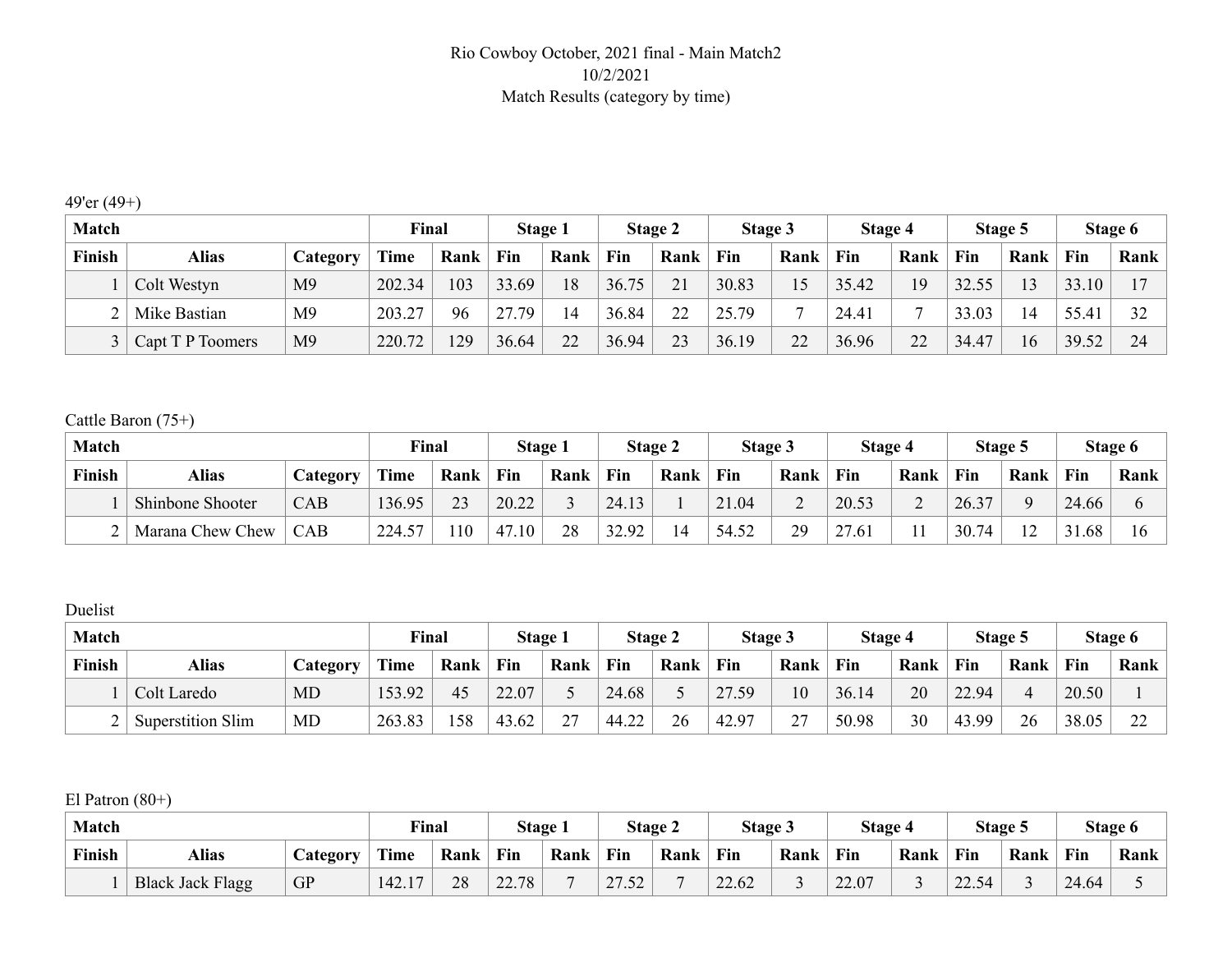#### Rio Cowboy October, 2021 final - Main Match2 10/2/2021 Match Results (category by time)

## 49'er (49+)

| <b>Match</b> |                  |                | Final       |      |       | <b>Stage 1</b> |       | Stage 2 | Stage 3 |      | Stage 4 |          |       | Stage 5 |       | Stage 6 |
|--------------|------------------|----------------|-------------|------|-------|----------------|-------|---------|---------|------|---------|----------|-------|---------|-------|---------|
| Finish       | <b>Alias</b>     | Category       | <b>Time</b> | Rank | Fin   | Rank           | Fin   | Rank    | Fin     | Rank | Fin     | Rank     | Fin   | Rank    | Fin   | Rank    |
|              | Colt Westyn      | M9             | 202.34      | 103  | 33.69 | 18             | 36.75 | 21      | 30.83   | .5   | 35.42   | 19       | 32.55 | 13      | 33.10 |         |
|              | Mike Bastian     | M9             | 203.27      | 96   | 27 79 | 14             | 36.84 | 22      | 25.79   |      | 24.41   |          | 33.03 | ۱4      | 55.41 | 32      |
|              | Capt T P Toomers | M <sub>9</sub> | 220.72      | 129  | 36.64 | 22             | 36.94 | 23      | 36.19   | 22   | 36.96   | 22<br>∠∠ | 34.47 | 16      | 39.52 | 24      |

#### Cattle Baron (75+)

| <b>Match</b> |                  |                 | Final       |                | Stage 1 |      |       | <b>Stage 2</b> | Stage 3 |      | Stage 4                           |      |       | Stage 5        |       | Stage 6 |
|--------------|------------------|-----------------|-------------|----------------|---------|------|-------|----------------|---------|------|-----------------------------------|------|-------|----------------|-------|---------|
| Finish       | <b>Alias</b>     | <b>Category</b> | <b>Time</b> | Rank           | Fin     | Rank | Fin   | Rank           | Fin     | Rank | Fin                               | Rank | Fin   | Rank           | Fin   | Rank    |
|              | Shinbone Shooter | CAB             | 136.95      | 2 <sup>2</sup> | 20.22   |      | 24.13 |                | 21.04   |      | 20.53                             |      | 26.37 |                | 24.66 |         |
|              | Marana Chew Chew | $\mathsf{CAB}$  | 224.57      | 110            | 47.10   | 28   | 32.92 | 14             | 54.52   | 20   | $\sim$ $\sim$<br>1.61<br><u>_</u> |      | 30.74 | 1 <sub>2</sub> | 31.68 | 16      |

#### Duelist

| <b>Match</b> |                          |          | Final  |      |       | Stage 1 |       | Stage 2 | Stage 3                               |             | Stage 4 |      |       | Stage 5 |       | Stage 6 |
|--------------|--------------------------|----------|--------|------|-------|---------|-------|---------|---------------------------------------|-------------|---------|------|-------|---------|-------|---------|
| Finish       | <b>Alias</b>             | Category | Time   | Rank | Fin   | Rank    | Fin   | Rank    | Fin                                   | Rank        | Fin     | Rank | Fin   | Rank    | Fin   | Rank    |
|              | Colt Laredo              | MD       | 153.92 | 45   | 22.07 |         | 24.68 |         | $\mathbf{z}$<br>.59<br>$\overline{ }$ | 10          | 36.14   | 20   | 22.94 |         | 20.50 |         |
|              | <b>Superstition Slim</b> | MD       | 263.83 | 58   | 43.62 | 27      | 44.22 | 26      | 42.97                                 | $\sim$<br>∽ | 50.98   | 30   | 43.99 | 26      | 38.05 | $\sim$  |

El Patron (80+)

| <b>Match</b> |                          |           | Final                  |      | Stage i |      |                                | Stage 2 | Stage 3 |      | <b>Stage 4</b> |      |       | Stage 5 |       | Stage 6 |
|--------------|--------------------------|-----------|------------------------|------|---------|------|--------------------------------|---------|---------|------|----------------|------|-------|---------|-------|---------|
| Finish       | Alias<br><b>Category</b> |           | Time                   | Rank | Fin     | Rank | Fin                            | Rank    | Fin     | Rank | Fin            | Rank | Fin   | Rank    | Fin   | Rank    |
|              | <b>Black Jack Flagg</b>  | <b>GP</b> | 142.<br>1 <sub>7</sub> | 28   | 22.78   |      | $\mathbf{z}$<br>50<br>ے رہے کہ |         | 22.62   |      | 22.07          |      | 22.54 |         | 24.64 |         |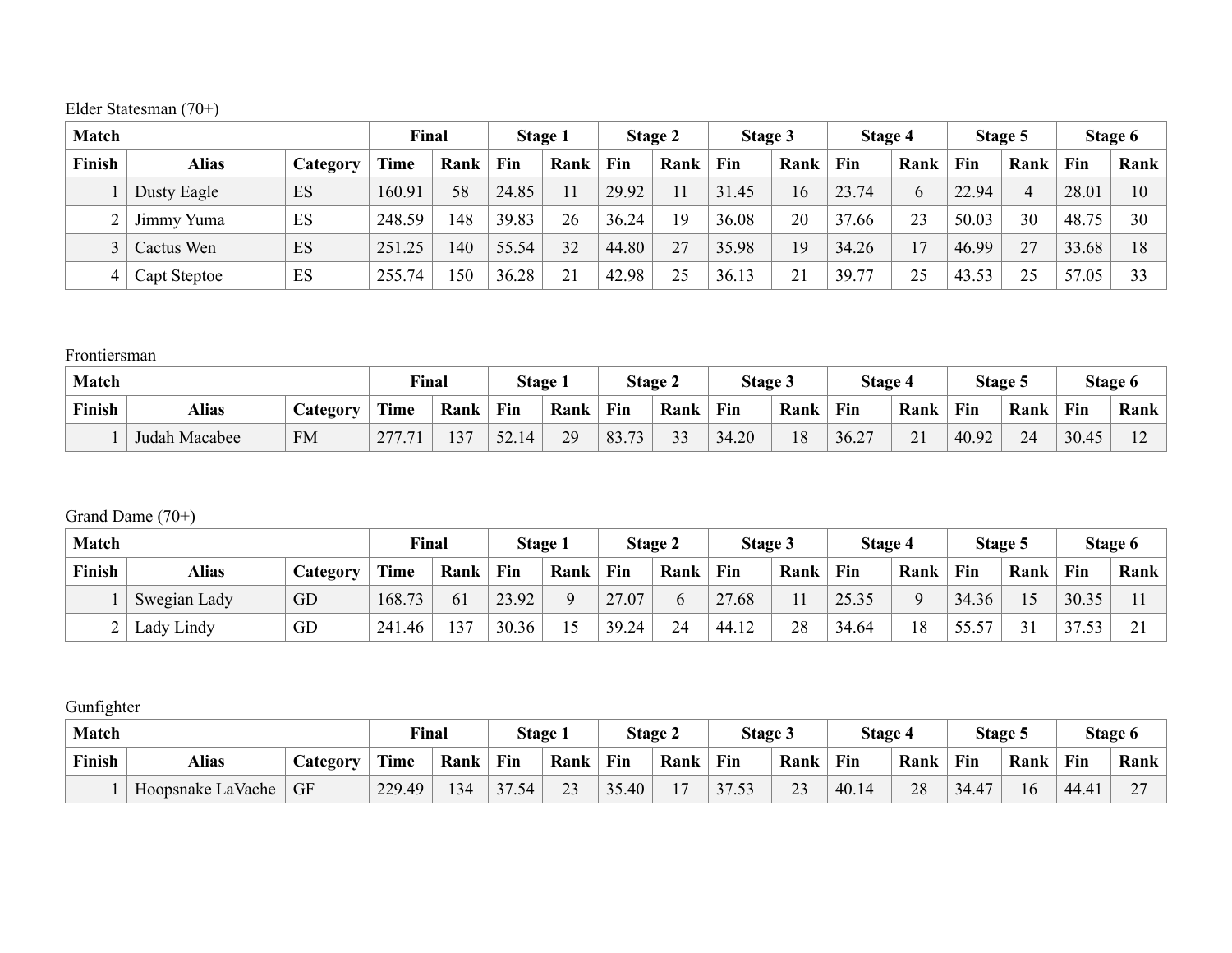Elder Statesman (70+)

| <b>Match</b> |              |          | Final       |      |       | Stage 1 |       | Stage 2 | Stage 3 |      | Stage 4 |      |       | Stage 5 |       | Stage 6 |
|--------------|--------------|----------|-------------|------|-------|---------|-------|---------|---------|------|---------|------|-------|---------|-------|---------|
| Finish       | <b>Alias</b> | Category | <b>Time</b> | Rank | Fin   | Rank    | Fin   | Rank    | Fin     | Rank | Fin     | Rank | Fin   | Rank    | Fin   | Rank    |
|              | Dusty Eagle  | ES       | 160.91      | 58   | 24.85 |         | 29.92 |         | 31.45   | 6    | 23.74   | 6    | 22.94 | Δ       | 28.01 | 10      |
|              | Jimmy Yuma   | ES       | 248.59      | 148  | 39.83 | 26      | 36.24 | 19      | 36.08   | 20   | 37.66   | 23   | 50.03 | 30      | 48.75 | 30      |
|              | Cactus Wen   | ES       | 251.25      | 140  | 55.54 | 32      | 44.80 | 27      | 35.98   | 19   | 34.26   | 17   | 46.99 | 27      | 33.68 | 18      |
| 4            | Capt Steptoe | ES       | 255.74      | 50   | 36.28 | 21      | 42.98 | 25      | 36.13   | n.   | 39.77   | 25   | 43.53 | 25      | 57.05 | 33      |

#### Frontiersman

| <b>Match</b> |                                       |           | <b>Final</b> |      | <b>Stage</b> |      |           | Stage 2           | Stage 3      |      | Stage 4 |      |       | Stage 5 |       | Stage 6 |
|--------------|---------------------------------------|-----------|--------------|------|--------------|------|-----------|-------------------|--------------|------|---------|------|-------|---------|-------|---------|
| Finish       | <b>Alias</b><br>$\mathcal{L}$ ategory |           | <b>Time</b>  | Rank | Fin          | Rank | Fin       | Rank              | Fin          | Rank | Fin     | Rank | Fin   | Rank    | Fin   | Rank    |
|              | Judah Macabee                         | <b>FM</b> | 277          | 137  | 52.1         | 29   | 83.<br>72 | $\mathbf{\Omega}$ | $+20$<br>-14 | 18   | 36.27   | 21   | 40.92 | 24      | 30.45 |         |

## Grand Dame (70+)

| <b>Match</b> |              |          | Final       |      |       | Stage 1 |       | Stage 2 | Stage 3                             |      | Stage 4 |      |       | Stage 5  |       | Stage 6         |
|--------------|--------------|----------|-------------|------|-------|---------|-------|---------|-------------------------------------|------|---------|------|-------|----------|-------|-----------------|
| Finish       | <b>Alias</b> | Category | <b>Time</b> | Rank | Fin   | Rank    | Fin   | Rank    | Fin                                 | Rank | Fin     | Rank | Fin   | Rank     | Fin   | Rank            |
|              | Swegian Lady | GD       | 168.73      | 61   | 23.92 |         | 27.07 | b.      | $\sqrt{2}$<br>.68<br>$\overline{2}$ |      | 25.35   | റ    | 34.36 |          | 30.35 |                 |
|              | Lady Lindy   | GD       | 241.46      | 137  | 30.36 |         | 39.24 | 24      | 12<br>44.12                         | 28   | 34.64   | 18   | 55.57 | $\sim$ 1 | 37.53 | $\sim$ 1<br>– ⊥ |

## Gunfighter

| Match  |                          |           | Final  |      | Stage |      |       | Stage 2        | <b>Stage 3</b> |      | Stage 4 |      | Stage: |      |       | Stage 6     |
|--------|--------------------------|-----------|--------|------|-------|------|-------|----------------|----------------|------|---------|------|--------|------|-------|-------------|
| Finish | <b>Alias</b><br>Category |           | Time   | Rank | Fin   | Rank | Fin   | Rank           | Fin            | Rank | Fin     | Rank | Fin    | Rank | Fin   | Rank        |
|        | Hoopsnake LaVache        | <b>GF</b> | 229.49 | 134  | 37.54 | 23   | 35.40 | 1 <sub>7</sub> | 37.53          | 23   | 40.14   | 28   | 34.47  | 16   | 44.41 | $\sim$<br>∽ |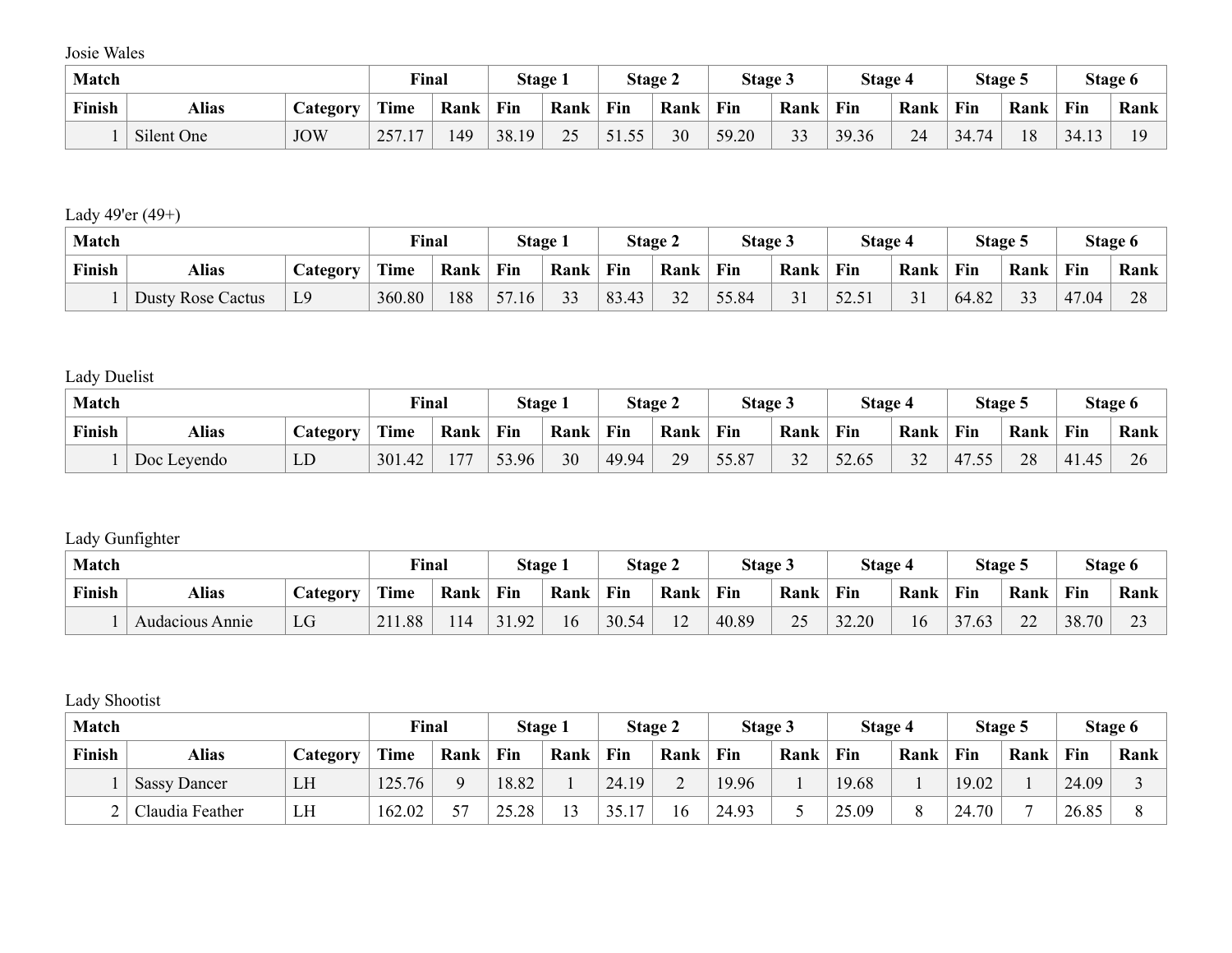Josie Wales

| <b>Match</b> |                          |            | Final       |      | Stage 1 |      |                       | Stage 2 | Stage 3 |                   | <b>Stage 4</b> |      | Stage 5 |      |             | Stage 6 |
|--------------|--------------------------|------------|-------------|------|---------|------|-----------------------|---------|---------|-------------------|----------------|------|---------|------|-------------|---------|
| Finish       | <b>Alias</b><br>Category |            | Time        | Rank | Fin     | Rank | Fin                   | Rank    | Fin     | Rank              | Fin            | Rank | Fin     | Rank | Fin         | Rank    |
|              | Silent One               | <b>JOW</b> | 257.1<br>17 | .49  | 38.19   | 25   | 51 55<br><u>JI.JJ</u> | 30      | 59.20   | $\mathbf{\Omega}$ | 39.36          | 24   | 34.74   | 18   | 12<br>34.13 |         |

# Lady 49'er (49+)

| <b>Match</b> |                          |                | Final       |      | Stage     |                      |       | <b>Stage 2</b> | Stage 3 |                    | Stage 4 |      | Stage 5 |                     |       | Stage 6 |
|--------------|--------------------------|----------------|-------------|------|-----------|----------------------|-------|----------------|---------|--------------------|---------|------|---------|---------------------|-------|---------|
| Finish       | <b>Alias</b>             |                | <b>Time</b> | Rank | Fin       | Rank                 | Fin   | Rank           | Fin     | Rank               | Fin     | Rank | Fin     | Rank                | Fin   | Rank    |
|              | <b>Dusty Rose Cactus</b> | L <sub>9</sub> | 360.80      | 188  | 57<br>.16 | $\mathcal{L}$<br>د د | 83.43 | $\mathbf{A}$   | 55.84   | $\mathbf{\hat{1}}$ | 52.51   | 31   | 64.82   | $\mathcal{L}$<br>33 | 47.04 | $\cap$  |

# Lady Duelist

| <b>Match</b> |             |                 | <b>Final</b> |      | Stage |      |       | Stage 2 | <b>Stage 3</b> |           | Stage 4 |      |                    | Stage 5 |       | Stage 6 |
|--------------|-------------|-----------------|--------------|------|-------|------|-------|---------|----------------|-----------|---------|------|--------------------|---------|-------|---------|
| Finish       | Alias       | <b>Category</b> | Time         | Rank | Fin   | Rank | Fin   | Rank    | Fin            | Rank      | Fin     | Rank | Fin                | Rank    | Fin   | Rank    |
|              | Doc Leyendo | LD              | 301.42       | 77   | 53.96 | 30   | 49.94 | 29      | 55.87          | 32<br>ے د | 52.65   | 32   | 47.55<br>$-14$ .j. | 28      | 41.45 | $\sim$  |

## Lady Gunfighter

| <b>Match</b> |                 |                  | <b>Final</b>          |      | Stage |      |       | Stage 2                   | Stage 3 |             | Stage 4 |      |       | Stage 5      |       | Stage 6            |
|--------------|-----------------|------------------|-----------------------|------|-------|------|-------|---------------------------|---------|-------------|---------|------|-------|--------------|-------|--------------------|
| Finish       | <b>Alias</b>    | <b>Lategory</b>  | $\mathbf{m}$<br>l'ime | Rank | Fin   | Rank | Fin   | Rank                      | Fin     | Rank        | Fin     | Rank | Fin   | Rank         | Fin   | Rank               |
|              | Audacious Annie | $\sqrt{ }$<br>LU | 211.88                | 114  | 31.92 | 16   | 30.54 | 1 <sub>0</sub><br>$\perp$ | 40.89   | $\cap$<br>⊷ | 32.20   | 16   | 37.63 | $\cap$<br>∠∠ | 38.70 | $\mathbf{a}$<br>ر_ |

## Lady Shootist

| <b>Match</b> |                     |                 | Final  |      |       | <b>Stage 1</b> |                | Stage 2 | Stage 3 |      | Stage 4 |      |       | Stage 5 |       | Stage 6 |
|--------------|---------------------|-----------------|--------|------|-------|----------------|----------------|---------|---------|------|---------|------|-------|---------|-------|---------|
| Finish       | <b>Alias</b>        | <i>Category</i> | Time   | Rank | Fin   | Rank           | Fin            | Rank    | Fin     | Rank | Fin     | Rank | Fin   | Rank    | Fin   | Rank    |
|              | <b>Sassy Dancer</b> | LH              | 125.76 |      | 18.82 |                | 24.19          |         | 19.96   |      | 19.68   |      | 19.02 |         | 24.09 |         |
|              | Claudia Feather     | LH              | 162.02 | cπ   | 25.28 | 12             | 1 <sub>7</sub> | 16      | 24.93   |      | 25.09   |      | 24.70 |         | 26.85 |         |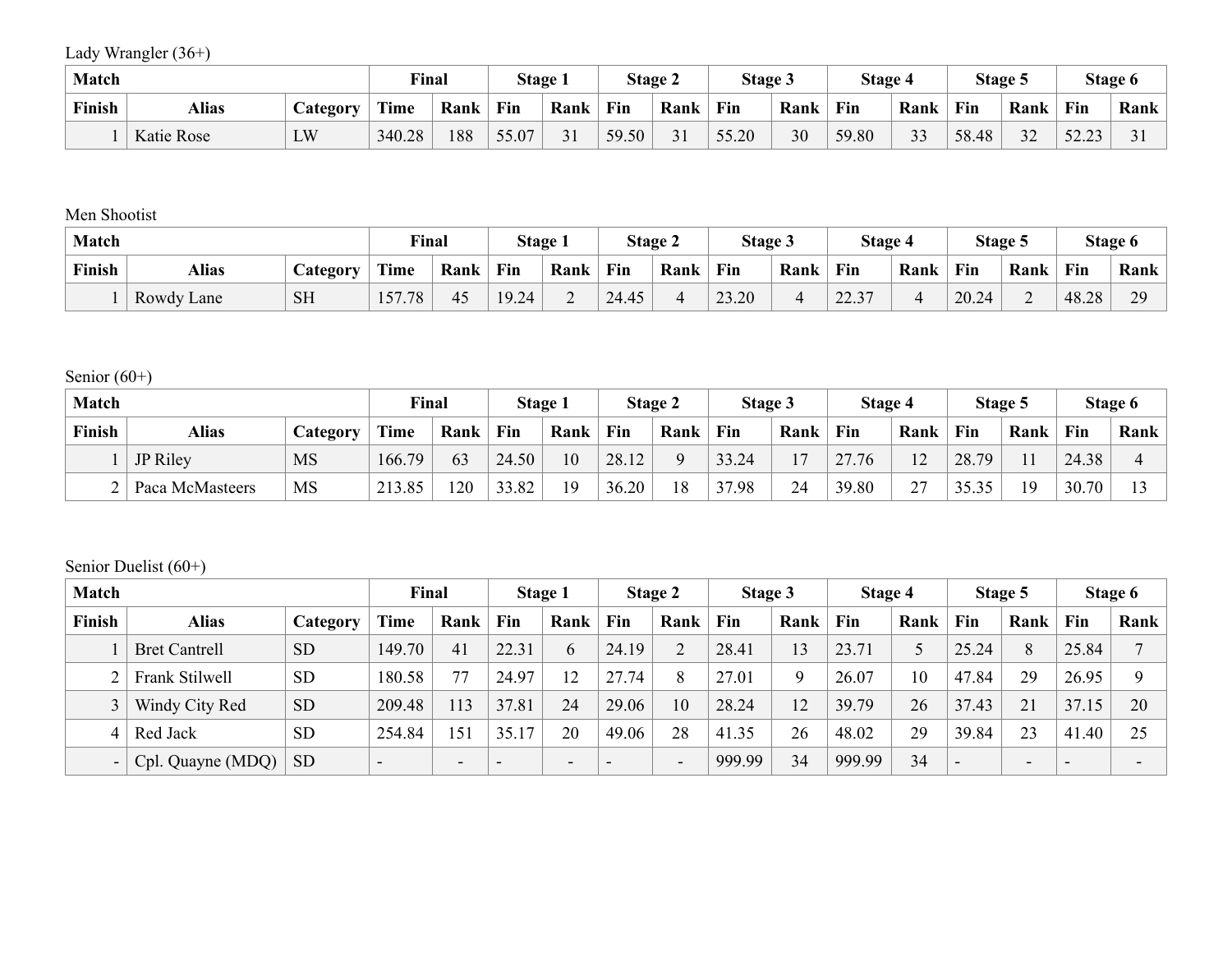Lady Wrangler (36+)

| <b>Match</b> |              |                       | Final       |      | Stage. |      |       | <b>Stage 2</b> | Stage 5 |      | <b>Stage 4</b> |      |       | Stage 5            |                                     | Stage 6 |
|--------------|--------------|-----------------------|-------------|------|--------|------|-------|----------------|---------|------|----------------|------|-------|--------------------|-------------------------------------|---------|
| Finish       | <b>Alias</b> | $\mathcal{L}$ ategory | <b>Time</b> | Rank | Fin    | Rank | Fin   | Rank           | Fin     | Rank | Fin            | Rank | Fin   | Rank               | Fin                                 | Rank    |
|              | Katie Rose   | LW                    | 340.28      | 188  | 55.07  | 31   | 59.50 |                | 55.20   | 30   | 59.80          | 33   | 58.48 | $\mathbf{A}$<br>22 | 52<br>$\mathbf{a}$<br><u> 24.43</u> |         |

## Men Shootist

| <b>Match</b> |                                 |           | Final       |      | Stage |      |       | Stage 2 | Stage 3 |      | Stage 4       |      | Stage : |                          |       | Stage 6        |
|--------------|---------------------------------|-----------|-------------|------|-------|------|-------|---------|---------|------|---------------|------|---------|--------------------------|-------|----------------|
| Finish       | <b>Alias</b><br><i>Category</i> |           | <b>Time</b> | Rank | Fin   | Rank | Fin   | Rank    | Fin     | Rank | Fin           | Rank | Fin     | Rank                     | Fin   | Rank           |
|              | Rowdy Lane                      | <b>SH</b> | 157.78      | 45   | 19.24 | ∠    | 24.45 |         | 23.20   |      | 22.27<br>44.5 |      | 20.24   | $\overline{\phantom{0}}$ | 48.28 | 20<br><u>.</u> |

# Senior  $(60+)$

| <b>Match</b> |                 |                  | Final  |      |       | Stage 1 |       | <b>Stage 2</b> | Stage 3 |                | Stage 4    |                    |       | Stage 5 |       | Stage 6 |
|--------------|-----------------|------------------|--------|------|-------|---------|-------|----------------|---------|----------------|------------|--------------------|-------|---------|-------|---------|
| Finish       | <b>Alias</b>    | <i>C</i> ategory | Time   | Rank | Fin   | Rank    | Fin   | Rank           | Fin     | Rank           | Fin        | Rank               | Fin   | Rank    | Fin   | Rank    |
|              | JP Riley        | <b>MS</b>        | 166.79 | 63   | 24.50 | 10      | 28.12 |                | 33.24   | 1 <sub>7</sub> | 27.76<br>∼ | $\sqrt{2}$<br>└    | 28.79 |         | 24.38 |         |
|              | Paca McMasteers | MS               | 213.85 | 120  | 33.82 | 19      | 36.20 | 18             | 37.98   | 24             | 39.80      | $\mathcal{L}$<br>∼ | 35.35 | 19      | 30.70 |         |

#### Senior Duelist (60+)

| <b>Match</b> |                      |           | Final                    |                          |                          | Stage 1                  |       | Stage 2 | Stage 3 |      | Stage 4 |      |                          | Stage 5                  |       | Stage 6        |
|--------------|----------------------|-----------|--------------------------|--------------------------|--------------------------|--------------------------|-------|---------|---------|------|---------|------|--------------------------|--------------------------|-------|----------------|
| Finish       | <b>Alias</b>         | Category  | <b>Time</b>              | Rank                     | Fin                      | Rank                     | Fin   | Rank    | Fin     | Rank | Fin     | Rank | Fin                      | Rank                     | Fin   | Rank           |
|              | <b>Bret Cantrell</b> | <b>SD</b> | 149.70                   | 41                       | 22.31                    | 6                        | 24.19 |         | 28.41   | 13   | 23.71   |      | 25.24                    | 8                        | 25.84 | $\overline{ }$ |
|              | Frank Stilwell       | <b>SD</b> | 180.58                   |                          | 24.97                    | 12                       | 27.74 | 8       | 27.01   | Q    | 26.07   | '0   | 47.84                    | 29                       | 26.95 | $\mathbf Q$    |
|              | Windy City Red       | <b>SD</b> | 209.48                   | 113                      | 37.81                    | 24                       | 29.06 | 10      | 28.24   | 12   | 39.79   | 26   | 37.43                    | 21                       | 37.15 | 20             |
| 4            | Red Jack             | <b>SD</b> | 254.84                   | 151                      | 35.17                    | 20                       | 49.06 | 28      | 41.35   | 26   | 48.02   | 29   | 39.84                    | 23                       | 41.40 | 25             |
| $-$          | Cpl. Quayne (MDQ)    | <b>SD</b> | $\overline{\phantom{0}}$ | $\overline{\phantom{0}}$ | $\overline{\phantom{0}}$ | $\overline{\phantom{0}}$ | -     |         | 999.99  | 34   | 999.99  | 34   | $\overline{\phantom{0}}$ | $\overline{\phantom{0}}$ |       |                |